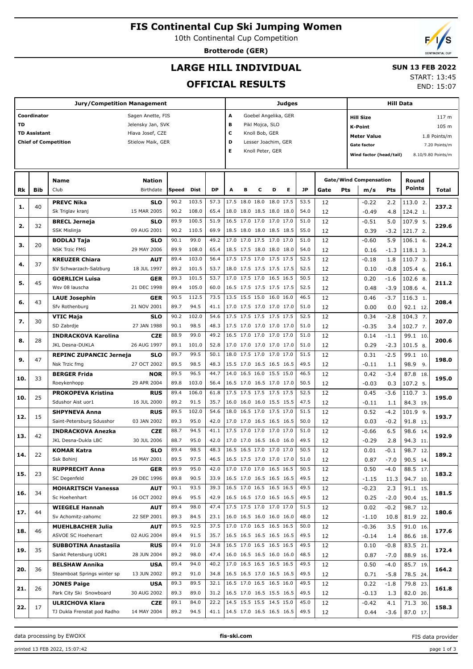# **FIS Continental Cup Ski Jumping Women**

10th Continental Cup Competition

**Brotterode (GER)**

## **LARGE HILL INDIVIDUAL**

#### **SUN 13 FEB 2022** START: 13:45

**OFFICIAL RESULTS**

|           |                     | Jury/Competition Management                     |                           |       |       |                                 | Judges                                     |                |                          |           | Hill Data |      |      |                                    |                               |        |                    |                    |
|-----------|---------------------|-------------------------------------------------|---------------------------|-------|-------|---------------------------------|--------------------------------------------|----------------|--------------------------|-----------|-----------|------|------|------------------------------------|-------------------------------|--------|--------------------|--------------------|
|           | Coordinator         |                                                 | Sagen Anette, FIS         |       |       |                                 | A                                          |                | Goebel Angelika, GER     |           |           |      |      |                                    | <b>Hill Size</b>              |        |                    | 117 m              |
| <b>TD</b> |                     |                                                 | Jelensky Jan, SVK         |       |       |                                 | B                                          |                | Pikl Mojca, SLO          |           |           |      |      |                                    |                               |        |                    |                    |
|           | <b>TD Assistant</b> |                                                 | Hlava Josef, CZE          |       |       |                                 | c                                          |                |                          |           |           |      |      | <b>K-Point</b>                     |                               |        | 105 m              |                    |
|           |                     | <b>Chief of Competition</b>                     | Stielow Maik, GER         |       |       |                                 | Knoll Bob, GER<br>D<br>Lesser Joachim, GER |                |                          |           |           |      |      | <b>Meter Value</b><br>1.8 Points/m |                               |        |                    |                    |
|           |                     |                                                 |                           |       |       |                                 | E                                          |                |                          |           |           |      |      |                                    | Gate factor                   |        |                    | 7.20 Points/m      |
|           |                     |                                                 |                           |       |       |                                 |                                            |                | Knoll Peter, GER         |           |           |      |      |                                    | Wind factor (head/tail)       |        |                    | 8.10/9.80 Points/m |
|           |                     |                                                 |                           |       |       |                                 |                                            |                |                          |           |           |      |      |                                    |                               |        |                    |                    |
|           |                     |                                                 |                           |       |       |                                 |                                            |                |                          |           |           |      |      |                                    |                               |        |                    |                    |
|           |                     | <b>Name</b>                                     | <b>Nation</b>             |       |       |                                 |                                            |                |                          |           |           |      |      |                                    | <b>Gate/Wind Compensation</b> |        | Round              |                    |
| Rk        | Bib                 | Club                                            | Birthdate                 | Speed | Dist  | DP                              | A                                          | в              | с                        | D         | Е         | JP   | Gate | Pts                                | m/s                           | Pts    | <b>Points</b>      | Total              |
|           |                     | <b>PREVC Nika</b>                               | <b>SLO</b>                | 90.2  | 103.5 | 57.3                            |                                            | 17.5 18.0 18.0 |                          | 18.0 17.5 |           | 53.5 | 12   |                                    | $-0.22$                       | 2.2    | 113.0 2.           |                    |
| 1.        | 40                  | Sk Triglav kranj                                | 15 MAR 2005               | 90.2  | 108.0 | 65.4                            |                                            |                | 18.0 18.0 18.5 18.0 18.0 |           |           | 54.0 | 12   |                                    | $-0.49$                       | 4.8    | 124.2 1.           | 237.2              |
|           |                     | <b>BRECL Jerneja</b>                            | <b>SLO</b>                | 89.9  | 100.5 | 51.9                            |                                            |                | 16.5 17.0 17.0 17.0 17.0 |           |           | 51.0 | 12   |                                    | $-0.51$                       | 5.0    | 107.9 5.           |                    |
| 2.        | 32                  | SSK Mislinja                                    | 09 AUG 2001               | 90.2  | 110.5 | 69.9                            |                                            |                | 18.5 18.0 18.0 18.5 18.5 |           |           | 55.0 | 12   |                                    | 0.39                          | $-3.2$ | 121.7 2.           | 229.6              |
|           |                     | <b>BODLAJ Taja</b>                              | SLO                       | 90.1  | 99.0  | 49.2                            |                                            |                | 17.0 17.0 17.5 17.0 17.0 |           |           | 51.0 | 12   |                                    | $-0.60$                       | 5.9    | $106.1$ 6.         |                    |
| з.        | 20                  | <b>NSK Trzic FMG</b>                            | 29 MAY 2006               | 89.9  | 108.0 | 65.4                            |                                            |                | 18.5 17.5 18.0 18.0 18.0 |           |           | 54.0 | 12   |                                    | 0.16                          | $-1.3$ | 118.1 3.           | 224.2              |
|           |                     | <b>KREUZER Chiara</b>                           | AUT                       | 89.4  | 103.0 | 56.4                            |                                            |                | 17.5 17.5 17.0 17.5 17.5 |           |           | 52.5 | 12   |                                    | $-0.18$                       | 1.8    | $110.73$ .         |                    |
| 4.        | 37                  | SV Schwarzach-Salzburg                          | 18 JUL 1997               | 89.2  | 101.5 | 53.7                            |                                            |                | 18.0 17.5 17.5 17.5 17.5 |           |           | 52.5 | 12   |                                    | 0.10                          | $-0.8$ | 105.4 6.           | 216.1              |
|           |                     | <b>GOERLICH Luisa</b>                           | GER                       | 89.3  | 101.5 | 53.7                            |                                            |                | 17.0 17.5 17.0 16.5 16.5 |           |           | 50.5 | 12   |                                    | 0.20                          | $-1.6$ | 102.6 8.           |                    |
| 5.        | 45                  | Wsv 08 lauscha                                  | 21 DEC 1998               | 89.4  | 105.0 | 60.0                            |                                            |                | 16.5 17.5 17.5 17.5 17.5 |           |           | 52.5 | 12   |                                    | 0.48                          | $-3.9$ | 108.6 4.           | 211.2              |
|           |                     | <b>LAUE Josephin</b>                            | GER                       | 90.5  | 112.5 | 73.5                            |                                            |                | 13.5 15.5 15.0 16.0 16.0 |           |           | 46.5 | 12   |                                    | 0.46                          | $-3.7$ | 116.3 1.           |                    |
| 6.        | 43                  | Sfv Rothenburg                                  | 21 NOV 2001               | 89.7  | 94.5  | 41.1                            |                                            |                | 17.0 17.5 17.0 17.0 17.0 |           |           | 51.0 | 12   |                                    | 0.00                          | 0.0    | 92.1 12.           | 208.4              |
|           |                     | VTIC Maja                                       | <b>SLO</b>                | 90.2  | 102.0 | 54.6                            |                                            |                | 17.5 17.5 17.5 17.5 17.5 |           |           | 52.5 | 12   |                                    | 0.34                          | $-2.8$ | 104.3 7.           |                    |
| 7.        | 30                  | SD Zabrdje                                      | 27 JAN 1988               | 90.1  | 98.5  | 48.3                            |                                            |                | 17.5 17.0 17.0 17.0 17.0 |           |           | 51.0 | 12   |                                    | $-0.35$                       | 3.4    | 102.77.            | 207.0              |
|           |                     | <b>INDRACKOVA Karolina</b>                      | <b>CZE</b>                | 88.9  | 99.0  | 49.2                            |                                            |                | 16.5 17.0 17.0 17.0 17.0 |           |           | 51.0 | 12   |                                    | 0.14                          | $-1.1$ | 99.1 10.           |                    |
| 8.        | 28                  | JKL Desna-DUKLA                                 | 26 AUG 1997               | 89.1  | 101.0 | 52.8                            |                                            |                | 17.0 17.0 17.0 17.0 17.0 |           |           | 51.0 | 12   |                                    | 0.29                          | $-2.3$ | 101.5 8.           | 200.6              |
|           |                     | <b>REPINC ZUPANCIC Jerneja</b>                  | <b>SLO</b>                | 89.7  | 99.5  | 50.1                            |                                            |                | 18.0 17.5 17.0 17.0 17.0 |           |           | 51.5 | 12   |                                    | 0.31                          | $-2.5$ | 99.1 10.           |                    |
| 9.        | 47                  | Nsk Trzic fmg                                   | 27 OCT 2002               | 89.5  | 98.5  | 48.3                            |                                            |                | 15.5 17.0 16.5 16.5 16.5 |           |           | 49.5 | 12   |                                    | $-0.11$                       | 1.1    | 98.9<br>9.         | 198.0              |
|           |                     | <b>BERGER Frida</b>                             | <b>NOR</b>                | 89.5  | 96.5  | 44.7                            |                                            |                | 14.0 16.5 16.0 15.5 15.0 |           |           | 46.5 | 12   |                                    | 0.42                          | $-3.4$ | 87.8 18.           |                    |
| 10.       | 33                  | Roeykenhopp                                     | 29 APR 2004               | 89.8  | 103.0 | 56.4                            |                                            |                | 16.5 17.0 16.5 17.0 17.0 |           |           | 50.5 | 12   |                                    | $-0.03$                       | 0.3    | 107.2 5.           | 195.0              |
|           |                     | <b>PROKOPEVA Kristina</b>                       | <b>RUS</b>                | 89.4  | 106.0 | 61.8                            |                                            |                | 17.5 17.5 17.5 17.5 17.5 |           |           | 52.5 | 12   |                                    | 0.45                          | $-3.6$ | 110.7 <sub>3</sub> |                    |
| 10.       | 25                  | Sdushor Aist uor1                               | 16 JUL 2000               | 89.2  | 91.5  | 35.7                            |                                            |                | 16.0 16.0 16.0 15.5 15.5 |           |           | 47.5 | 12   |                                    | $-0.11$                       |        | 84.3 19.           | 195.0              |
|           |                     |                                                 |                           | 89.5  | 102.0 | 54.6                            |                                            |                | 18.0 16.5 17.0 17.5 17.0 |           |           | 51.5 | 12   |                                    |                               | 1.1    | $101.9$ 9.         |                    |
| 12.       | 15                  | <b>SHPYNEVA Anna</b>                            | <b>RUS</b><br>03 JAN 2002 | 89.3  | 95.0  | 42.0                            |                                            |                | 17.0 17.0 16.5 16.5 16.5 |           |           | 50.0 |      |                                    | 0.52                          | $-4.2$ |                    | 193.7              |
|           |                     | Saint-Petersburg Sdusshor                       |                           | 88.7  | 94.5  | 41.1                            |                                            |                | 17.5 17.0 17.0 17.0 17.0 |           |           | 51.0 | 12   |                                    | 0.03                          | $-0.2$ | 91.8 13.           |                    |
| 13.       | 42                  | <b>INDRACKOVA Anezka</b><br>JKL Desna-Dukla LBC | <b>CZE</b>                | 88.7  | 95.0  |                                 |                                            |                |                          |           |           | 49.5 | 12   |                                    | $-0.66$                       | 6.5    | 98.6 14.           | 192.9              |
|           |                     |                                                 | 30 JUL 2006               | 89.4  | 98.5  | 42.0                            |                                            |                | 17.0 17.0 16.5 16.0 16.0 |           |           | 50.5 | 12   |                                    | $-0.29$                       | 2.8    | 94.3 11.           |                    |
| 14.       | 22                  | <b>KOMAR Katra</b>                              | <b>SLO</b>                |       |       | 48.3                            |                                            |                | 16.5 16.5 17.0 17.0 17.0 |           |           |      | 12   |                                    | 0.01                          | $-0.1$ | 98.7 12.           | 189.2              |
|           |                     | Ssk Bohinj                                      | 16 MAY 2001               | 89.5  | 97.5  | 46.5                            |                                            |                | 16.5 17.5 17.0 17.0 17.0 |           |           | 51.0 | 12   |                                    | 0.87                          | $-7.0$ | 90.5 14.           |                    |
| 15.       | 23                  | <b>RUPPRECHT Anna</b>                           | <b>GER</b>                | 89.9  | 95.0  | 42.0                            |                                            |                | 17.0 17.0 17.0 16.5 16.5 |           |           | 50.5 | 12   |                                    | 0.50                          | $-4.0$ | 88.5 17.           | 183.2              |
|           |                     | SC Degenfeld                                    | 29 DEC 1996               | 89.8  | 90.5  | 33.9                            |                                            |                | 16.5 17.0 16.5 16.5 16.5 |           |           | 49.5 | 12   |                                    | $-1.15$                       | 11.3   | 94.7 10.           |                    |
| 16.       | 34                  | <b>MOHARITSCH Vanessa</b>                       | <b>AUT</b>                | 90.1  | 93.5  | 39.3                            |                                            |                | 16.5 17.0 16.5 16.5 16.5 |           |           | 49.5 | 12   |                                    | $-0.23$                       | 2.3    | 91.1 15.           | 181.5              |
|           |                     | Sc Hoehenhart                                   | 16 OCT 2002               | 89.6  | 95.5  | 42.9                            |                                            |                | 16.5 16.5 17.0 16.5 16.5 |           |           | 49.5 | 12   |                                    | 0.25                          | $-2.0$ | 90.4 15.           |                    |
| 17.       | 44                  | <b>WIEGELE Hannah</b>                           | <b>AUT</b>                | 89.4  | 98.0  | 47.4                            |                                            |                | 17.5 17.5 17.0 17.0 17.0 |           |           | 51.5 | 12   |                                    | 0.02                          | $-0.2$ | 98.7 12.           | 180.6              |
|           |                     | Sv Achomitz-zahomc                              | 22 SEP 2001               | 89.3  | 84.5  | 23.1                            |                                            |                | 16.0 16.5 16.0 16.0 16.0 |           |           | 48.0 | 12   |                                    | $-1.10$                       | 10.8   | 81.9 22.           |                    |
| 18.       | 46                  | <b>MUEHLBACHER Julia</b>                        | <b>AUT</b>                | 89.5  | 92.5  | 37.5                            |                                            |                | 17.0 17.0 16.5 16.5 16.5 |           |           | 50.0 | 12   |                                    | $-0.36$                       | 3.5    | 91.0 16.           | 177.6              |
|           |                     | ASVOE SC Hoehenart                              | 02 AUG 2004               | 89.4  | 91.5  | 35.7                            |                                            |                | 16.5 16.5 16.5 16.5 16.5 |           |           | 49.5 | 12   |                                    | $-0.14$                       | 1.4    | 86.6 18.           |                    |
| 19.       | 35                  | SUBBOTINA Anastasiia                            | <b>RUS</b>                | 89.4  | 91.0  | 34.8                            |                                            |                | 16.5 17.0 16.5 16.5 16.5 |           |           | 49.5 | 12   |                                    | 0.10                          | $-0.8$ | 83.5 21.           | 172.4              |
|           |                     | Sankt Petersburg UOR1                           | 28 JUN 2004               | 89.2  | 98.0  | 47.4                            |                                            |                | 16.0 16.5 16.5 16.0 16.0 |           |           | 48.5 | 12   |                                    | 0.87                          | $-7.0$ | 88.9 16.           |                    |
| 20.       | 36                  | <b>BELSHAW Annika</b>                           | <b>USA</b>                | 89.4  | 94.0  | 40.2                            |                                            |                | 17.0 16.5 16.5 16.5 16.5 |           |           | 49.5 | 12   |                                    | 0.50                          | $-4.0$ | 85.7 19.           | 164.2              |
|           |                     | Steamboat Springs winter sp                     | 13 JUN 2002               | 89.2  | 91.0  | 34.8                            |                                            |                | 16.5 16.5 17.0 16.5 16.5 |           |           | 49.5 | 12   |                                    | 0.71                          | $-5.8$ | 78.5 24.           |                    |
| 21.       | 26                  | <b>JONES Paige</b>                              | <b>USA</b>                | 89.3  | 89.5  | 32.1                            |                                            |                | 16.5 17.0 16.5 16.5 16.0 |           |           | 49.5 | 12   |                                    | 0.22                          | $-1.8$ | 79.8 23.           | 161.8              |
|           |                     | Park City Ski Snowboard                         | 30 AUG 2002               | 89.3  | 89.0  | 31.2                            |                                            |                | 16.5 17.0 16.5 15.5 16.5 |           |           | 49.5 | 12   |                                    | $-0.13$                       | 1.3    | 82.0 20.           |                    |
| 22.       | 17                  | <b>ULRICHOVA Klara</b>                          | CZE                       | 89.1  | 84.0  | 22.2                            |                                            |                | 14.5 15.5 15.5 14.5 15.0 |           |           | 45.0 | 12   |                                    | $-0.42$                       | 4.1    | 71.3 30.           | 158.3              |
|           |                     | TJ Dukla Frenstat pod Radho:                    | 14 MAY 2004               | 89.2  | 94.5  | 41.1   14.5 17.0 16.5 16.5 16.5 |                                            |                |                          |           |           | 49.5 | 12   |                                    | 0.44                          | $-3.6$ | 87.0 17.           |                    |

data processing by EWOXX **fis-ski.com**

FIS data provider



END: 15:07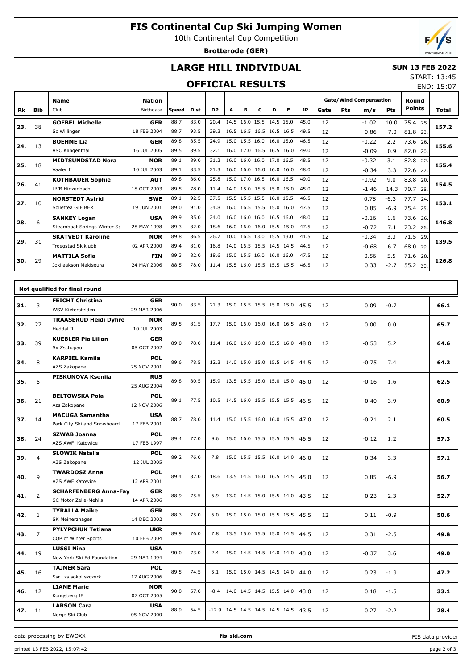# **FIS Continental Cup Ski Jumping Women**

10th Continental Cup Competition

**Brotterode (GER)**



END: 15:07

## **LARGE HILL INDIVIDUAL**

#### **SUN 13 FEB 2022** START: 13:45

### **OFFICIAL RESULTS**

|     |     | <b>Name</b>                 | <b>Nation</b> |       |             |           |   |   |   |                          |   |           | <b>Gate/Wind Compensation</b> |            |         | Round  |               |       |
|-----|-----|-----------------------------|---------------|-------|-------------|-----------|---|---|---|--------------------------|---|-----------|-------------------------------|------------|---------|--------|---------------|-------|
| Rk  | Bib | Club                        | Birthdate     | Speed | <b>Dist</b> | <b>DP</b> | A | в | C | D                        | Е | <b>JP</b> | Gate                          | <b>Pts</b> | m/s     | Pts    | <b>Points</b> | Total |
| 23. | 38  | <b>GOEBEL Michelle</b>      | <b>GER</b>    | 88.7  | 83.0        | 20.4      |   |   |   | 14.5 16.0 15.5 14.5 15.0 |   | 45.0      | 12                            |            | $-1.02$ | 10.0   | 75.4 25.      | 157.2 |
|     |     | Sc Willingen                | 18 FEB 2004   | 88.7  | 93.5        | 39.3      |   |   |   | 16.5 16.5 16.5 16.5 16.5 |   | 49.5      | 12                            |            | 0.86    | $-7.0$ | 81.8 23.      |       |
| 24. | 13  | <b>BOEHME Lia</b>           | <b>GER</b>    | 89.8  | 85.5        | 24.9      |   |   |   | 15.0 15.5 16.0 16.0 15.0 |   | 46.5      | 12                            |            | $-0.22$ | 2.2    | 73.6<br>26.   | 155.6 |
|     |     | VSC Klingenthal             | 16 JUL 2005   | 89.5  | 89.5        | 32.1      |   |   |   | 16.0 17.0 16.5 16.5 16.0 |   | 49.0      | 12                            |            | $-0.09$ | 0.9    | 82.0<br>20.   |       |
| 25. | 18  | <b>MIDTSUNDSTAD Nora</b>    | <b>NOR</b>    | 89.1  | 89.0        | 31.2      |   |   |   | 16.0 16.0 16.0 17.0 16.5 |   | 48.5      | 12                            |            | $-0.32$ | 3.1    | 82.8<br>22.   | 155.4 |
|     |     | Vaaler If                   | 10 JUL 2003   | 89.1  | 83.5        | 21.3      |   |   |   | 16.0 16.0 16.0 16.0 16.0 |   | 48.0      | 12                            |            | $-0.34$ | 3.3    | 72.6 27.      |       |
| 26. | 41  | <b>KOTHBAUER Sophie</b>     | <b>AUT</b>    | 89.8  | 86.0        | 25.8      |   |   |   | 15.0 17.0 16.5 16.0 16.5 |   | 49.0      | 12                            |            | $-0.92$ | 9.0    | 83.8<br>20.   | 154.5 |
|     |     | UVB Hinzenbach              | 18 OCT 2003   | 89.5  | 78.0        | 11.4      |   |   |   | 14.0 15.0 15.5 15.0 15.0 |   | 45.0      | 12                            |            | $-1.46$ | 14.3   | 70.7<br>28.   |       |
| 27. | 10  | <b>NORSTEDT Astrid</b>      | <b>SWE</b>    | 89.1  | 92.5        | 37.5      |   |   |   | 15.5 15.5 15.5 16.0 15.5 |   | 46.5      | 12                            |            | 0.78    | $-6.3$ | 77.7<br>24.   | 153.1 |
|     |     | Solleftea GIF BHK           | 19 JUN 2001   | 89.0  | 91.0        | 34.8      |   |   |   | 16.0 16.5 15.5 15.0 16.0 |   | 47.5      | 12                            |            | 0.85    | $-6.9$ | 75.4 25.      |       |
| 28. | 6   | <b>SANKEY Logan</b>         | <b>USA</b>    | 89.9  | 85.0        | 24.0      |   |   |   | 16.0 16.0 16.0 16.5 16.0 |   | 48.0      | 12                            |            | $-0.16$ | 1.6    | 73.6<br>26.   | 146.8 |
|     |     | Steamboat Springs Winter Sp | 28 MAY 1998   | 89.3  | 82.0        | 18.6      |   |   |   | 16.0 16.0 16.0 15.5 15.0 |   | 47.5      | 12                            |            | $-0.72$ | 7.1    | 73.2 26.      |       |
| 29. | 31  | <b>SKATVEDT Karoline</b>    | <b>NOR</b>    | 89.8  | 86.5        | 26.7      |   |   |   | 10.0 16.5 13.0 15.5 13.0 |   | 41.5      | 12                            |            | $-0.34$ | 3.3    | 71.5<br>29    | 139.5 |
|     |     | Troegstad Skiklubb          | 02 APR 2000   | 89.4  | 81.0        | 16.8      |   |   |   | 14.0 16.5 15.5 14.5 14.5 |   | 44.5      | 12                            |            | $-0.68$ | 6.7    | 68.0 29.      |       |
| 30. | 29  | <b>MATTILA Sofia</b>        | <b>FIN</b>    | 89.3  | 82.0        | 18.6      |   |   |   | 15.0 15.5 16.0 16.0 16.0 |   | 47.5      | 12                            |            | $-0.56$ | 5.5    | 71.6<br>28.   | 126.8 |
|     |     | Jokilaakson Makiseura       | 24 MAY 2006   | 88.5  | 78.0        | 11.4      |   |   |   | 15.5 16.0 15.5 15.5 15.5 |   | 46.5      | 12                            |            | 0.33    | $-2.7$ | 55.2 30.      |       |

|     |                | Not qualified for final round                         |                           |      |      |         |                          |  |      |    |         |        |      |
|-----|----------------|-------------------------------------------------------|---------------------------|------|------|---------|--------------------------|--|------|----|---------|--------|------|
| 31. | 3              | <b>FEICHT Christina</b><br>WSV Kiefersfelden          | <b>GER</b><br>29 MAR 2006 | 90.0 | 83.5 | 21.3    | 15.0 15.5 15.5 15.0 15.0 |  | 45.5 | 12 | 0.09    | $-0.7$ | 66.1 |
| 32. | 27             | <b>TRAASERUD Heidi Dyhre</b><br>Heddal II             | <b>NOR</b><br>10 JUL 2003 | 89.5 | 81.5 | 17.7    | 15.0 16.0 16.0 16.0 16.5 |  | 48.0 | 12 | 0.00    | 0.0    | 65.7 |
| 33. | 39             | <b>KUEBLER Pia Lilian</b><br>Sv Zschopau              | <b>GER</b><br>08 OCT 2002 | 89.0 | 78.0 | 11.4    | 16.0 16.0 16.0 15.5 16.0 |  | 48.0 | 12 | $-0.53$ | 5.2    | 64.6 |
| 34. | 8              | <b>KARPIEL Kamila</b><br>AZS Zakopane                 | <b>POL</b><br>25 NOV 2001 | 89.6 | 78.5 | 12.3    | 14.0 15.0 15.0 15.5 14.5 |  | 44.5 | 12 | $-0.75$ | 7.4    | 64.2 |
| 35. | 5              | <b>PISKUNOVA Ksenija</b>                              | <b>RUS</b><br>25 AUG 2004 | 89.8 | 80.5 | 15.9    | 13.5 15.5 15.0 15.0 15.0 |  | 45.0 | 12 | $-0.16$ | 1.6    | 62.5 |
| 36. | 21             | <b>BELTOWSKA Pola</b><br>Azs Zakopane                 | <b>POL</b><br>12 NOV 2006 | 89.1 | 77.5 | 10.5    | 14.5 16.0 15.5 15.5 15.5 |  | 46.5 | 12 | $-0.40$ | 3.9    | 60.9 |
| 37. | 14             | <b>MACUGA Samantha</b><br>Park City Ski and Snowboard | <b>USA</b><br>17 FEB 2001 | 88.7 | 78.0 | 11.4    | 15.0 15.5 16.0 16.0 15.5 |  | 47.0 | 12 | $-0.21$ | 2.1    | 60.5 |
| 38. | 24             | <b>SZWAB Joanna</b><br>AZS AWF Katowice               | <b>POL</b><br>17 FEB 1997 | 89.4 | 77.0 | 9.6     | 15.0 16.0 15.5 15.5 15.5 |  | 46.5 | 12 | $-0.12$ | 1.2    | 57.3 |
| 39. | $\overline{4}$ | <b>SLOWIK Natalia</b><br>AZS Zakopane                 | <b>POL</b><br>12 JUL 2005 | 89.2 | 76.0 | 7.8     | 15.0 15.5 15.5 16.0 14.0 |  | 46.0 | 12 | $-0.34$ | 3.3    | 57.1 |
| 40. | 9              | <b>TWARDOSZ Anna</b><br><b>AZS AWF Katowice</b>       | <b>POL</b><br>12 APR 2001 | 89.4 | 82.0 | 18.6    | 13.5 14.5 16.0 16.5 14.5 |  | 45.0 | 12 | 0.85    | $-6.9$ | 56.7 |
| 41. | $\overline{2}$ | <b>SCHARFENBERG Anna-Fav</b><br>SC Motor Zella-Mehlis | <b>GER</b><br>14 APR 2006 | 88.9 | 75.5 | 6.9     | 13.0 14.5 15.0 15.5 14.0 |  | 43.5 | 12 | $-0.23$ | 2.3    | 52.7 |
| 42. | $\mathbf{1}$   | <b>TYRALLA Maike</b><br>SK Meinerzhagen               | <b>GER</b><br>14 DEC 2002 | 88.3 | 75.0 | 6.0     | 15.0 15.0 15.0 15.5 15.5 |  | 45.5 | 12 | 0.11    | $-0.9$ | 50.6 |
| 43. | $\overline{7}$ | <b>PYLYPCHUK Tetiana</b><br>COP of Winter Sports      | <b>UKR</b><br>10 FEB 2004 | 89.9 | 76.0 | 7.8     | 13.5 15.0 15.5 15.0 14.5 |  | 44.5 | 12 | 0.31    | $-2.5$ | 49.8 |
| 44. | 19             | <b>LUSSI Nina</b><br>New York Ski Ed Foundation       | <b>USA</b><br>29 MAR 1994 | 90.0 | 73.0 | 2.4     | 15.0 14.5 14.5 14.0 14.0 |  | 43.0 | 12 | $-0.37$ | 3.6    | 49.0 |
| 45. | 16             | <b>TAJNER Sara</b><br>Ssr Lzs sokol szczyrk           | <b>POL</b><br>17 AUG 2006 | 89.5 | 74.5 | 5.1     | 15.0 15.0 14.5 14.5 14.0 |  | 44.0 | 12 | 0.23    | $-1.9$ | 47.2 |
| 46. | 12             | <b>LIANE Marie</b><br>Kongsberg IF                    | <b>NOR</b><br>07 OCT 2005 | 90.8 | 67.0 | $-8.4$  | 14.0 14.5 14.5 15.5 14.0 |  | 43.0 | 12 | 0.18    | $-1.5$ | 33.1 |
| 47. | 11             | <b>LARSON Cara</b><br>Norge Ski Club                  | <b>USA</b><br>05 NOV 2000 | 88.9 | 64.5 | $-12.9$ | 14.5 14.5 14.5 14.5 14.5 |  | 43.5 | 12 | 0.27    | $-2.2$ | 28.4 |

data processing by EWOXX **fis-ski.com**

printed 13 FEB 2022, 15:07:42 page 2 of 3

FIS data provider